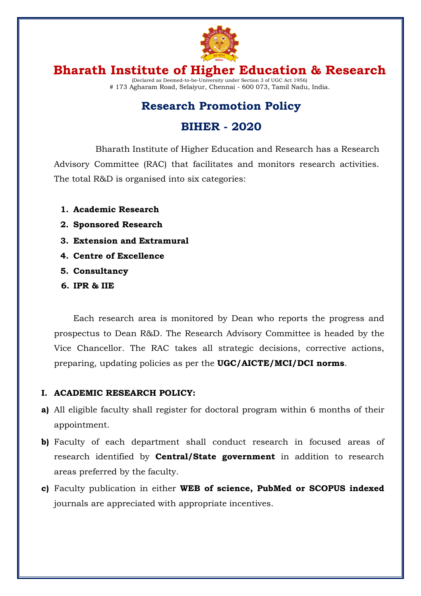

## **Research Promotion Policy**

## **BIHER - 2020**

Bharath Institute of Higher Education and Research has a Research Advisory Committee (RAC) that facilitates and monitors research activities. The total R&D is organised into six categories:

- **1. Academic Research**
- **2. Sponsored Research**
- **3. Extension and Extramural**
- **4. Centre of Excellence**
- **5. Consultancy**
- **6. IPR & IIE**

Each research area is monitored by Dean who reports the progress and prospectus to Dean R&D. The Research Advisory Committee is headed by the Vice Chancellor. The RAC takes all strategic decisions, corrective actions, preparing, updating policies as per the **UGC/AICTE/MCI/DCI norms**.

### **I. ACADEMIC RESEARCH POLICY:**

- **a)** All eligible faculty shall register for doctoral program within 6 months of their appointment.
- **b)** Faculty of each department shall conduct research in focused areas of research identified by **Central/State government** in addition to research areas preferred by the faculty.
- **c)** Faculty publication in either **WEB of science, PubMed or SCOPUS indexed** journals are appreciated with appropriate incentives.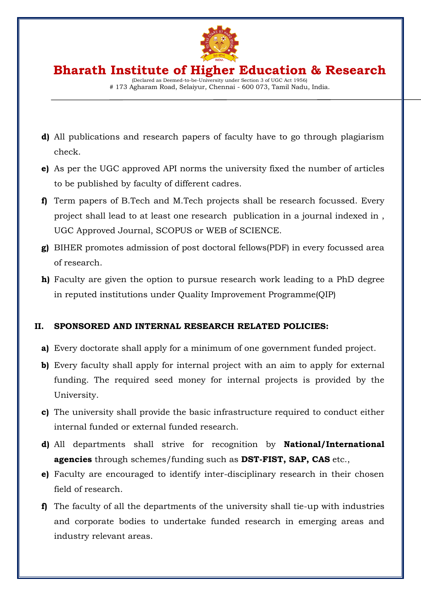

(Declared as Deemed-to-be-University under Section 3 of UGC Act 1956) # 173 Agharam Road, Selaiyur, Chennai - 600 073, Tamil Nadu, India.

- **d)** All publications and research papers of faculty have to go through plagiarism check.
- **e)** As per the UGC approved API norms the university fixed the number of articles to be published by faculty of different cadres.
- **f)** Term papers of B.Tech and M.Tech projects shall be research focussed. Every project shall lead to at least one research publication in a journal indexed in , UGC Approved Journal, SCOPUS or WEB of SCIENCE.
- **g)** BIHER promotes admission of post doctoral fellows(PDF) in every focussed area of research.
- **h)** Faculty are given the option to pursue research work leading to a PhD degree in reputed institutions under Quality Improvement Programme(QIP)

### **II. SPONSORED AND INTERNAL RESEARCH RELATED POLICIES:**

- **a)** Every doctorate shall apply for a minimum of one government funded project.
- **b)** Every faculty shall apply for internal project with an aim to apply for external funding. The required seed money for internal projects is provided by the University.
- **c)** The university shall provide the basic infrastructure required to conduct either internal funded or external funded research.
- **d)** All departments shall strive for recognition by **National/International agencies** through schemes/funding such as **DST-FIST, SAP, CAS** etc.,
- **e)** Faculty are encouraged to identify inter-disciplinary research in their chosen field of research.
- **f)** The faculty of all the departments of the university shall tie-up with industries and corporate bodies to undertake funded research in emerging areas and industry relevant areas.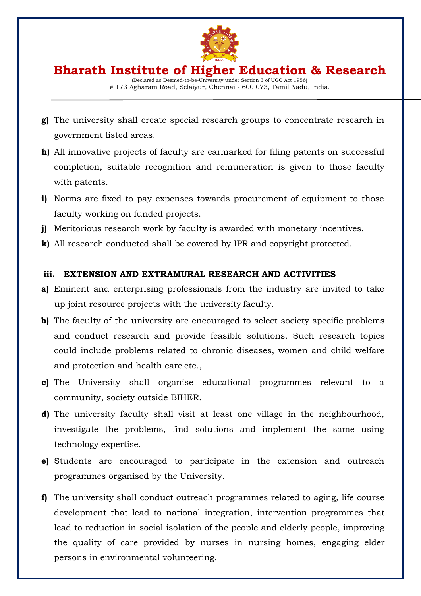

(Declared as Deemed-to-be-University under Section 3 of UGC Act 1956) # 173 Agharam Road, Selaiyur, Chennai - 600 073, Tamil Nadu, India.

- **g)** The university shall create special research groups to concentrate research in government listed areas.
- **h)** All innovative projects of faculty are earmarked for filing patents on successful completion, suitable recognition and remuneration is given to those faculty with patents.
- **i)** Norms are fixed to pay expenses towards procurement of equipment to those faculty working on funded projects.
- **j)** Meritorious research work by faculty is awarded with monetary incentives.
- **k)** All research conducted shall be covered by IPR and copyright protected.

### **iii. EXTENSION AND EXTRAMURAL RESEARCH AND ACTIVITIES**

- **a)** Eminent and enterprising professionals from the industry are invited to take up joint resource projects with the university faculty.
- **b)** The faculty of the university are encouraged to select society specific problems and conduct research and provide feasible solutions. Such research topics could include problems related to chronic diseases, women and child welfare and protection and health care etc.,
- **c)** The University shall organise educational programmes relevant to a community, society outside BIHER.
- **d)** The university faculty shall visit at least one village in the neighbourhood, investigate the problems, find solutions and implement the same using technology expertise.
- **e)** Students are encouraged to participate in the extension and outreach programmes organised by the University.
- **f)** The university shall conduct outreach programmes related to aging, life course development that lead to national integration, intervention programmes that lead to reduction in social isolation of the people and elderly people, improving the quality of care provided by nurses in nursing homes, engaging elder persons in environmental volunteering.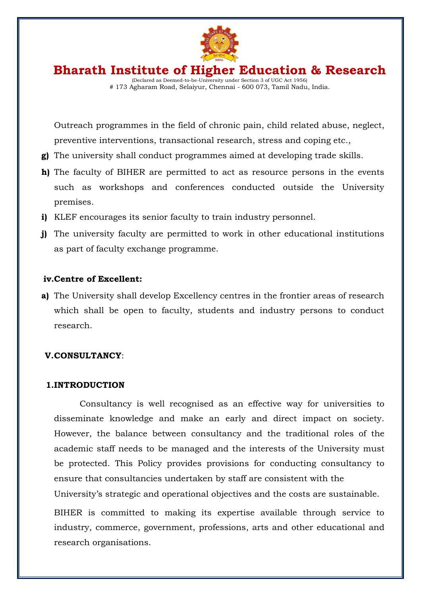

(Declared as Deemed-to-be-University under Section 3 of UGC Act 1956) # 173 Agharam Road, Selaiyur, Chennai - 600 073, Tamil Nadu, India.

Outreach programmes in the field of chronic pain, child related abuse, neglect, preventive interventions, transactional research, stress and coping etc.,

- **g)** The university shall conduct programmes aimed at developing trade skills.
- **h)** The faculty of BIHER are permitted to act as resource persons in the events such as workshops and conferences conducted outside the University premises.
- **i)** KLEF encourages its senior faculty to train industry personnel.
- **j)** The university faculty are permitted to work in other educational institutions as part of faculty exchange programme.

#### **iv.Centre of Excellent:**

**a)** The University shall develop Excellency centres in the frontier areas of research which shall be open to faculty, students and industry persons to conduct research.

#### **V.CONSULTANCY**:

#### **1.INTRODUCTION**

Consultancy is well recognised as an effective way for universities to disseminate knowledge and make an early and direct impact on society. However, the balance between consultancy and the traditional roles of the academic staff needs to be managed and the interests of the University must be protected. This Policy provides provisions for conducting consultancy to ensure that consultancies undertaken by staff are consistent with the University's strategic and operational objectives and the costs are sustainable.

BIHER is committed to making its expertise available through service to industry, commerce, government, professions, arts and other educational and research organisations.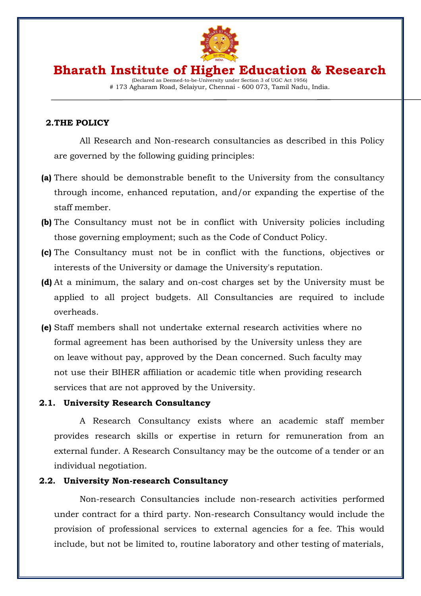

### **Bharath Institute of Higher Education & Research** (Declared as Deemed-to-be-University under Section 3 of UGC Act 1956)

# 173 Agharam Road, Selaiyur, Chennai - 600 073, Tamil Nadu, India.

#### **2.THE POLICY**

All Research and Non-research consultancies as described in this Policy are governed by the following guiding principles:

- **(a)** There should be demonstrable benefit to the University from the consultancy through income, enhanced reputation, and/or expanding the expertise of the staff member.
- **(b)** The Consultancy must not be in conflict with University policies including those governing employment; such as the Code of Conduct Policy.
- **(c)** The Consultancy must not be in conflict with the functions, objectives or interests of the University or damage the University's reputation.
- **(d)** At a minimum, the salary and on-cost charges set by the University must be applied to all project budgets. All Consultancies are required to include overheads.
- **(e)** Staff members shall not undertake external research activities where no formal agreement has been authorised by the University unless they are on leave without pay, approved by the Dean concerned. Such faculty may not use their BIHER affiliation or academic title when providing research services that are not approved by the University.

#### **2.1. University Research Consultancy**

A Research Consultancy exists where an academic staff member provides research skills or expertise in return for remuneration from an external funder. A Research Consultancy may be the outcome of a tender or an individual negotiation.

#### **2.2. University Non-research Consultancy**

Non-research Consultancies include non-research activities performed under contract for a third party. Non-research Consultancy would include the provision of professional services to external agencies for a fee. This would include, but not be limited to, routine laboratory and other testing of materials,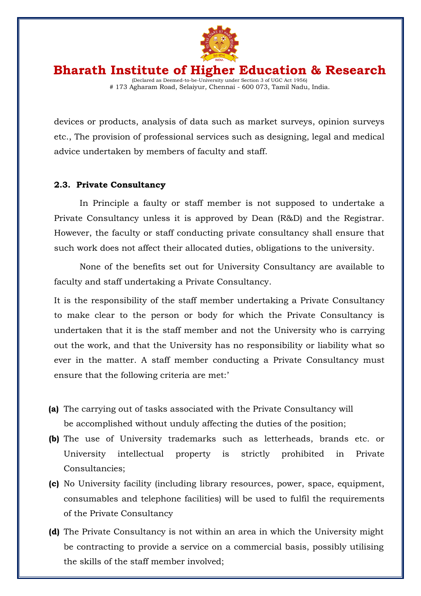

devices or products, analysis of data such as market surveys, opinion surveys etc., The provision of professional services such as designing, legal and medical advice undertaken by members of faculty and staff.

#### **2.3. Private Consultancy**

In Principle a faulty or staff member is not supposed to undertake a Private Consultancy unless it is approved by Dean (R&D) and the Registrar. However, the faculty or staff conducting private consultancy shall ensure that such work does not affect their allocated duties, obligations to the university.

None of the benefits set out for University Consultancy are available to faculty and staff undertaking a Private Consultancy.

It is the responsibility of the staff member undertaking a Private Consultancy to make clear to the person or body for which the Private Consultancy is undertaken that it is the staff member and not the University who is carrying out the work, and that the University has no responsibility or liability what so ever in the matter. A staff member conducting a Private Consultancy must ensure that the following criteria are met:'

- **(a)** The carrying out of tasks associated with the Private Consultancy will be accomplished without unduly affecting the duties of the position;
- **(b)** The use of University trademarks such as letterheads, brands etc. or University intellectual property is strictly prohibited in Private Consultancies;
- **(c)** No University facility (including library resources, power, space, equipment, consumables and telephone facilities) will be used to fulfil the requirements of the Private Consultancy
- **(d)** The Private Consultancy is not within an area in which the University might be contracting to provide a service on a commercial basis, possibly utilising the skills of the staff member involved;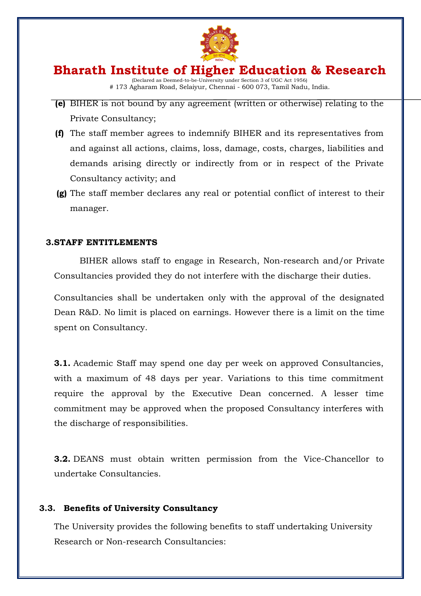

- **(e)** BIHER is not bound by any agreement (written or otherwise) relating to the Private Consultancy;
- **(f)** The staff member agrees to indemnify BIHER and its representatives from and against all actions, claims, loss, damage, costs, charges, liabilities and demands arising directly or indirectly from or in respect of the Private Consultancy activity; and
- **(g)** The staff member declares any real or potential conflict of interest to their manager.

#### **3.STAFF ENTITLEMENTS**

BIHER allows staff to engage in Research, Non-research and/or Private Consultancies provided they do not interfere with the discharge their duties.

Consultancies shall be undertaken only with the approval of the designated Dean R&D. No limit is placed on earnings. However there is a limit on the time spent on Consultancy.

**3.1.** Academic Staff may spend one day per week on approved Consultancies, with a maximum of 48 days per year. Variations to this time commitment require the approval by the Executive Dean concerned. A lesser time commitment may be approved when the proposed Consultancy interferes with the discharge of responsibilities.

**3.2.** DEANS must obtain written permission from the Vice-Chancellor to undertake Consultancies.

#### **3.3. Benefits of University Consultancy**

The University provides the following benefits to staff undertaking University Research or Non-research Consultancies: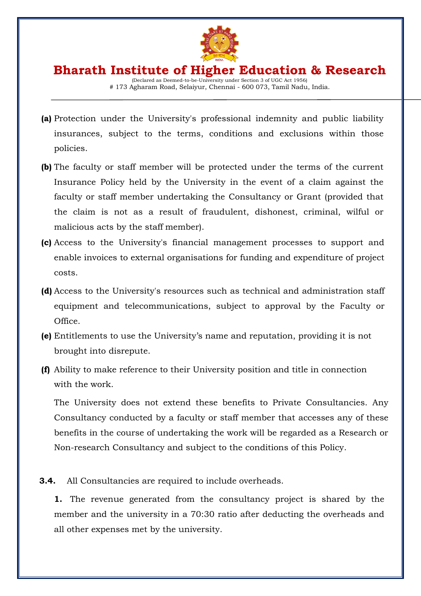

- **(a)** Protection under the University's professional indemnity and public liability insurances, subject to the terms, conditions and exclusions within those policies.
- **(b)** The faculty or staff member will be protected under the terms of the current Insurance Policy held by the University in the event of a claim against the faculty or staff member undertaking the Consultancy or Grant (provided that the claim is not as a result of fraudulent, dishonest, criminal, wilful or malicious acts by the staff member).
- **(c)** Access to the University's financial management processes to support and enable invoices to external organisations for funding and expenditure of project costs.
- **(d)** Access to the University's resources such as technical and administration staff equipment and telecommunications, subject to approval by the Faculty or Office.
- **(e)** Entitlements to use the University's name and reputation, providing it is not brought into disrepute.
- **(f)** Ability to make reference to their University position and title in connection with the work.

The University does not extend these benefits to Private Consultancies. Any Consultancy conducted by a faculty or staff member that accesses any of these benefits in the course of undertaking the work will be regarded as a Research or Non-research Consultancy and subject to the conditions of this Policy.

**3.4.** All Consultancies are required to include overheads.

**1.** The revenue generated from the consultancy project is shared by the member and the university in a 70:30 ratio after deducting the overheads and all other expenses met by the university.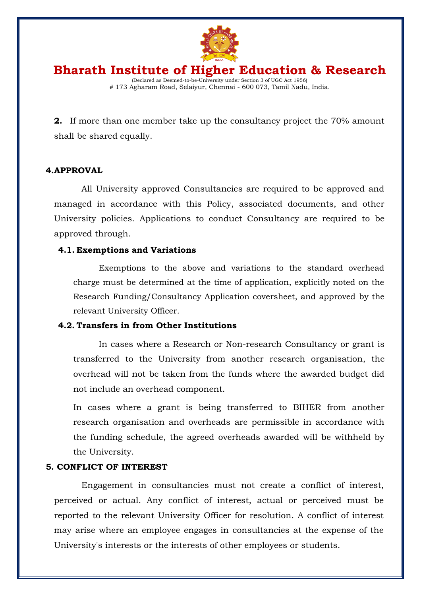

**2.** If more than one member take up the consultancy project the 70% amount shall be shared equally.

#### **4.APPROVAL**

All University approved Consultancies are required to be approved and managed in accordance with this Policy, associated documents, and other University policies. Applications to conduct Consultancy are required to be approved through.

#### **4.1. Exemptions and Variations**

Exemptions to the above and variations to the standard overhead charge must be determined at the time of application, explicitly noted on the Research Funding/Consultancy Application coversheet, and approved by the relevant University Officer.

#### **4.2. Transfers in from Other Institutions**

In cases where a Research or Non-research Consultancy or grant is transferred to the University from another research organisation, the overhead will not be taken from the funds where the awarded budget did not include an overhead component.

In cases where a grant is being transferred to BIHER from another research organisation and overheads are permissible in accordance with the funding schedule, the agreed overheads awarded will be withheld by the University.

#### **5. CONFLICT OF INTEREST**

Engagement in consultancies must not create a conflict of interest, perceived or actual. Any conflict of interest, actual or perceived must be reported to the relevant University Officer for resolution. A conflict of interest may arise where an employee engages in consultancies at the expense of the University's interests or the interests of other employees or students.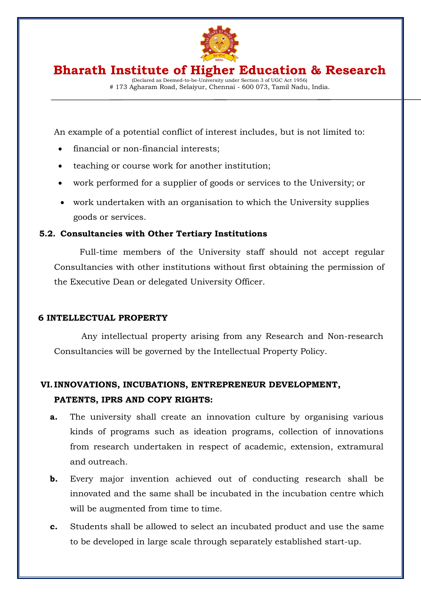

(Declared as Deemed-to-be-University under Section 3 of UGC Act 1956) # 173 Agharam Road, Selaiyur, Chennai - 600 073, Tamil Nadu, India.

An example of a potential conflict of interest includes, but is not limited to:

- financial or non-financial interests;
- teaching or course work for another institution;
- work performed for a supplier of goods or services to the University; or
- work undertaken with an organisation to which the University supplies goods or services.

### **5.2. Consultancies with Other Tertiary Institutions**

Full-time members of the University staff should not accept regular Consultancies with other institutions without first obtaining the permission of the Executive Dean or delegated University Officer.

#### **6 INTELLECTUAL PROPERTY**

Any intellectual property arising from any Research and Non-research Consultancies will be governed by the Intellectual Property Policy.

## **VI. INNOVATIONS, INCUBATIONS, ENTREPRENEUR DEVELOPMENT, PATENTS, IPRS AND COPY RIGHTS:**

- **a.** The university shall create an innovation culture by organising various kinds of programs such as ideation programs, collection of innovations from research undertaken in respect of academic, extension, extramural and outreach.
- **b.** Every major invention achieved out of conducting research shall be innovated and the same shall be incubated in the incubation centre which will be augmented from time to time.
- **c.** Students shall be allowed to select an incubated product and use the same to be developed in large scale through separately established start-up.